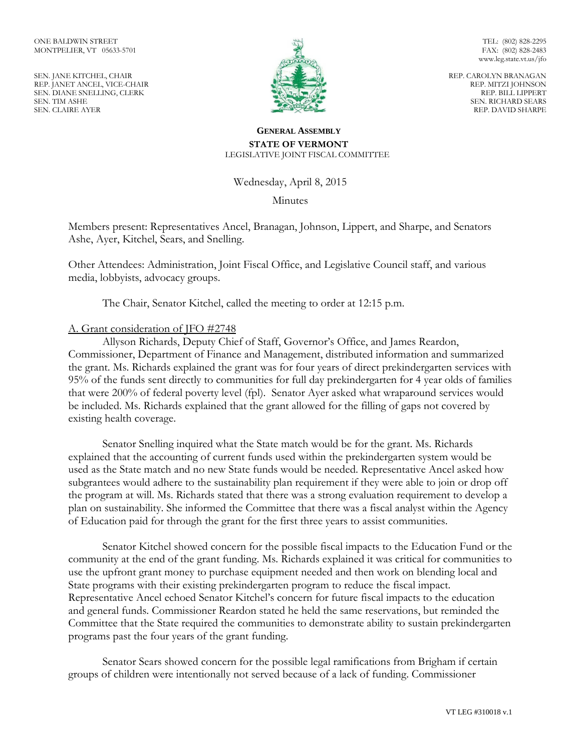SEN. JANE KITCHEL, CHAIR REP. JANET ANCEL, VICE-CHAIR SEN. DIANE SNELLING, CLERK SEN. TIM ASHE SEN. CLAIRE AYER



TEL: (802) 828-2295 FAX: (802) 828-2483 www.leg.state.vt.us/jfo

REP. CAROLYN BRANAGAN REP. MITZI JOHNSON REP. BILL LIPPERT SEN. RICHARD SEARS REP. DAVID SHARPE

## **GENERAL ASSEMBLY STATE OF VERMONT** LEGISLATIVE JOINT FISCAL COMMITTEE

Wednesday, April 8, 2015

**Minutes** 

Members present: Representatives Ancel, Branagan, Johnson, Lippert, and Sharpe, and Senators Ashe, Ayer, Kitchel, Sears, and Snelling.

Other Attendees: Administration, Joint Fiscal Office, and Legislative Council staff, and various media, lobbyists, advocacy groups.

The Chair, Senator Kitchel, called the meeting to order at 12:15 p.m.

## A. Grant consideration of JFO #2748

Allyson Richards, Deputy Chief of Staff, Governor's Office, and James Reardon, Commissioner, Department of Finance and Management, distributed information and summarized the grant. Ms. Richards explained the grant was for four years of direct prekindergarten services with 95% of the funds sent directly to communities for full day prekindergarten for 4 year olds of families that were 200% of federal poverty level (fpl). Senator Ayer asked what wraparound services would be included. Ms. Richards explained that the grant allowed for the filling of gaps not covered by existing health coverage.

Senator Snelling inquired what the State match would be for the grant. Ms. Richards explained that the accounting of current funds used within the prekindergarten system would be used as the State match and no new State funds would be needed. Representative Ancel asked how subgrantees would adhere to the sustainability plan requirement if they were able to join or drop off the program at will. Ms. Richards stated that there was a strong evaluation requirement to develop a plan on sustainability. She informed the Committee that there was a fiscal analyst within the Agency of Education paid for through the grant for the first three years to assist communities.

Senator Kitchel showed concern for the possible fiscal impacts to the Education Fund or the community at the end of the grant funding. Ms. Richards explained it was critical for communities to use the upfront grant money to purchase equipment needed and then work on blending local and State programs with their existing prekindergarten program to reduce the fiscal impact. Representative Ancel echoed Senator Kitchel's concern for future fiscal impacts to the education and general funds. Commissioner Reardon stated he held the same reservations, but reminded the Committee that the State required the communities to demonstrate ability to sustain prekindergarten programs past the four years of the grant funding.

Senator Sears showed concern for the possible legal ramifications from Brigham if certain groups of children were intentionally not served because of a lack of funding. Commissioner